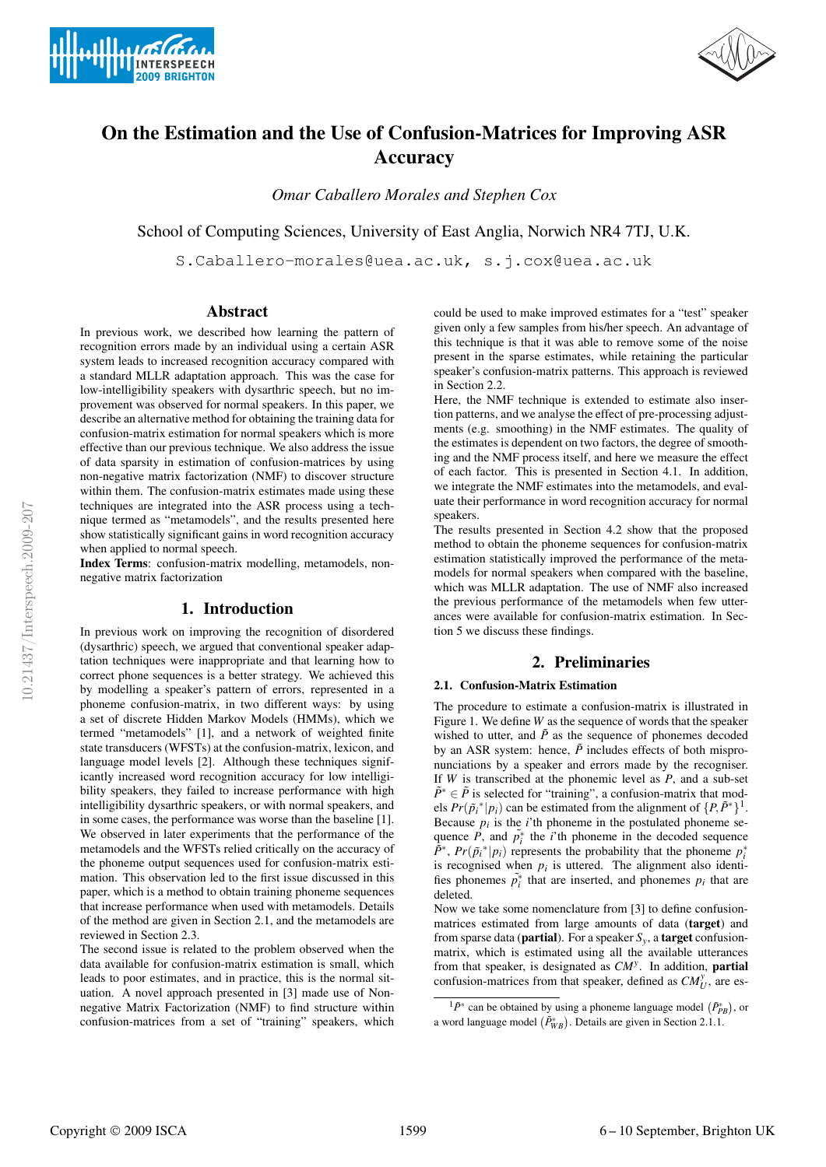



# **On the Estimation and the Use of Confusion-Matrices for Improving ASR Accuracy**

*Omar Caballero Morales and Stephen Cox*

School of Computing Sciences, University of East Anglia, Norwich NR4 7TJ, U.K.

S.Caballero-morales@uea.ac.uk, s.j.cox@uea.ac.uk

## **Abstract**

In previous work, we described how learning the pattern of recognition errors made by an individual using a certain ASR system leads to increased recognition accuracy compared with a standard MLLR adaptation approach. This was the case for low-intelligibility speakers with dysarthric speech, but no improvement was observed for normal speakers. In this paper, we describe an alternative method for obtaining the training data for confusion-matrix estimation for normal speakers which is more effective than our previous technique. We also address the issue of data sparsity in estimation of confusion-matrices by using non-negative matrix factorization (NMF) to discover structure within them. The confusion-matrix estimates made using these techniques are integrated into the ASR process using a technique termed as "metamodels", and the results presented here show statistically significant gains in word recognition accuracy when applied to normal speech.

**Index Terms**: confusion-matrix modelling, metamodels, nonnegative matrix factorization

# **1. Introduction**

In previous work on improving the recognition of disordered (dysarthric) speech, we argued that conventional speaker adaptation techniques were inappropriate and that learning how to correct phone sequences is a better strategy. We achieved this by modelling a speaker's pattern of errors, represented in a phoneme confusion-matrix, in two different ways: by using a set of discrete Hidden Markov Models (HMMs), which we termed "metamodels" [1], and a network of weighted finite state transducers (WFSTs) at the confusion-matrix, lexicon, and language model levels [2]. Although these techniques significantly increased word recognition accuracy for low intelligibility speakers, they failed to increase performance with high intelligibility dysarthric speakers, or with normal speakers, and in some cases, the performance was worse than the baseline [1]. We observed in later experiments that the performance of the metamodels and the WFSTs relied critically on the accuracy of the phoneme output sequences used for confusion-matrix estimation. This observation led to the first issue discussed in this paper, which is a method to obtain training phoneme sequences that increase performance when used with metamodels. Details of the method are given in Section 2.1, and the metamodels are reviewed in Section 2.3.

The second issue is related to the problem observed when the data available for confusion-matrix estimation is small, which leads to poor estimates, and in practice, this is the normal situation. A novel approach presented in [3] made use of Nonnegative Matrix Factorization (NMF) to find structure within confusion-matrices from a set of "training" speakers, which could be used to make improved estimates for a "test" speaker given only a few samples from his/her speech. An advantage of this technique is that it was able to remove some of the noise present in the sparse estimates, while retaining the particular speaker's confusion-matrix patterns. This approach is reviewed in Section 2.2.

Here, the NMF technique is extended to estimate also insertion patterns, and we analyse the effect of pre-processing adjustments (e.g. smoothing) in the NMF estimates. The quality of the estimates is dependent on two factors, the degree of smoothing and the NMF process itself, and here we measure the effect of each factor. This is presented in Section 4.1. In addition, we integrate the NMF estimates into the metamodels, and evaluate their performance in word recognition accuracy for normal speakers.

The results presented in Section 4.2 show that the proposed method to obtain the phoneme sequences for confusion-matrix estimation statistically improved the performance of the metamodels for normal speakers when compared with the baseline, which was MLLR adaptation. The use of NMF also increased the previous performance of the metamodels when few utterances were available for confusion-matrix estimation. In Section 5 we discuss these findings.

# **2. Preliminaries**

#### **2.1. Confusion-Matrix Estimation**

The procedure to estimate a confusion-matrix is illustrated in Figure 1. We define *W* as the sequence of words that the speaker wished to utter, and  $\tilde{P}$  as the sequence of phonemes decoded by an ASR system: hence,  $\tilde{P}$  includes effects of both mispronunciations by a speaker and errors made by the recogniser. If *W* is transcribed at the phonemic level as *P*, and a sub-set  $\tilde{P}^* \in \tilde{P}$  is selected for "training", a confusion-matrix that models  $Pr(\tilde{p}_i^*|p_i)$  can be estimated from the alignment of  $\{P, \tilde{P}^*\}^1$ . Because  $p_i$  is the  $i$ 'th phoneme in the postulated phoneme sequence  $\overline{P}$ , and  $\overline{p}_i^*$  the *i*'th phoneme in the decoded sequence  $\tilde{P}^*$ ,  $Pr(\tilde{p}_i^*|p_i)$  represents the probability that the phoneme  $p_i^*$ is recognised when  $p_i$  is uttered. The alignment also identifies phonemes  $\tilde{p}_i^*$  that are inserted, and phonemes  $p_i$  that are deleted.

Now we take some nomenclature from [3] to define confusionmatrices estimated from large amounts of data (**target**) and from sparse data (**partial**). For a speaker  $S_y$ , a **target** confusionmatrix, which is estimated using all the available utterances from that speaker, is designated as *CM<sup>y</sup>* . In addition, **partial** confusion-matrices from that speaker, defined as  $CM_U^y$ , are es-

<sup>&</sup>lt;sup>1</sup> $\tilde{P}^*$  can be obtained by using a phoneme language model  $(\tilde{P}_{PB}^*)$ , or a word language model  $(\tilde{P}_{WB}^*)$ . Details are given in Section 2.1.1.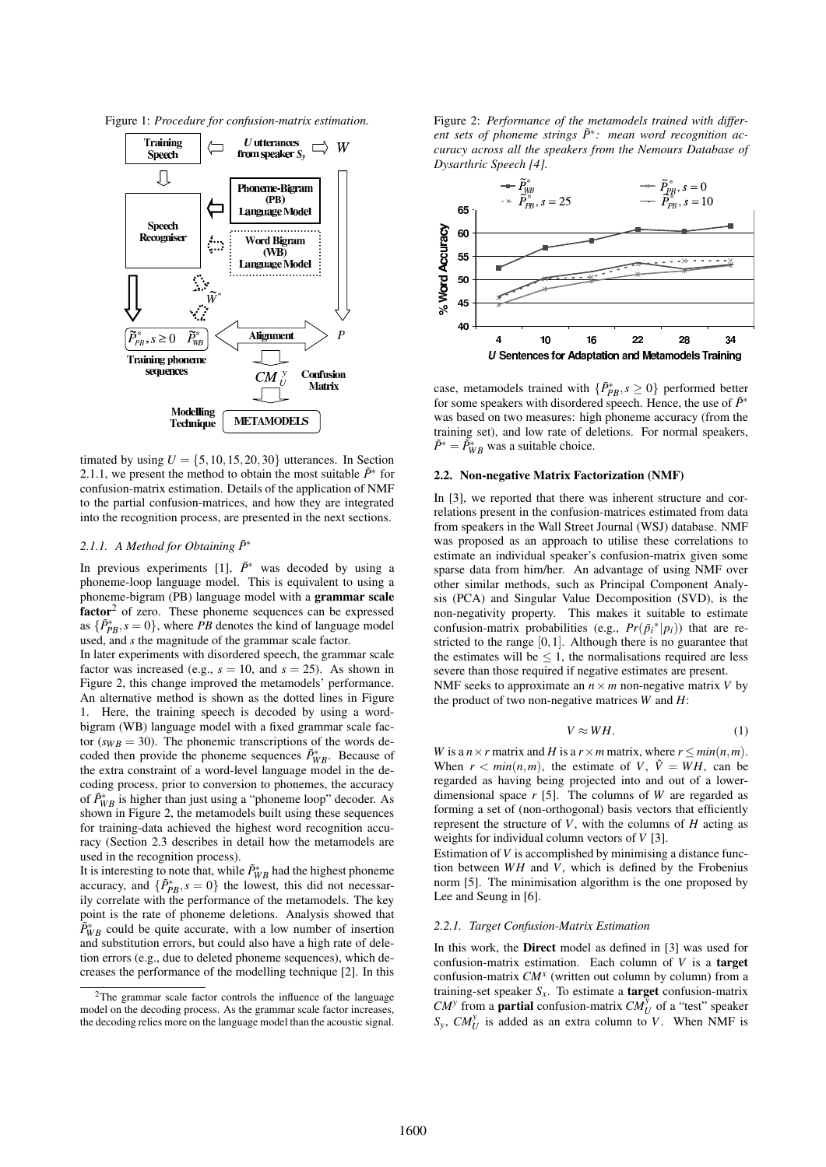Figure 1: *Procedure for confusion-matrix estimation.*



timated by using  $U = \{5, 10, 15, 20, 30\}$  utterances. In Section 2.1.1, we present the method to obtain the most suitable  $\tilde{P}^*$  for confusion-matrix estimation. Details of the application of NMF to the partial confusion-matrices, and how they are integrated into the recognition process, are presented in the next sections.

#### 2.1.1. *A Method for Obtaining*  $\tilde{P}$ <sup>∗</sup>

In previous experiments [1],  $\tilde{P}^*$  was decoded by using a phoneme-loop language model. This is equivalent to using a phoneme-bigram (PB) language model with a **grammar scale factor**<sup>2</sup> of zero. These phoneme sequences can be expressed as  $\{\tilde{P}_{PB}^*, s = 0\}$ , where *PB* denotes the kind of language model used, and *s* the magnitude of the grammar scale factor.

In later experiments with disordered speech, the grammar scale factor was increased (e.g.,  $s = 10$ , and  $s = 25$ ). As shown in Figure 2, this change improved the metamodels' performance. An alternative method is shown as the dotted lines in Figure 1. Here, the training speech is decoded by using a wordbigram (WB) language model with a fixed grammar scale factor  $(s_{WB} = 30)$ . The phonemic transcriptions of the words decoded then provide the phoneme sequences  $\tilde{P}_{WB}^*$ . Because of the extra constraint of a word-level language model in the decoding process, prior to conversion to phonemes, the accuracy of  $\tilde{P}_{WB}^*$  is higher than just using a "phoneme loop" decoder. As shown in Figure 2, the metamodels built using these sequences for training-data achieved the highest word recognition accuracy (Section 2.3 describes in detail how the metamodels are used in the recognition process).

It is interesting to note that, while  $\tilde{P}_{WB}^*$  had the highest phoneme accuracy, and  $\{\tilde{P}_{PB}^*, s = 0\}$  the lowest, this did not necessarily correlate with the performance of the metamodels. The key point is the rate of phoneme deletions. Analysis showed that  $\tilde{P}_{WB}^*$  could be quite accurate, with a low number of insertion and substitution errors, but could also have a high rate of deletion errors (e.g., due to deleted phoneme sequences), which decreases the performance of the modelling technique [2]. In this Figure 2: *Performance of the metamodels trained with different sets of phoneme strings P*˜<sup>∗</sup> *: mean word recognition accuracy across all the speakers from the Nemours Database of Dysarthric Speech [4].*



case, metamodels trained with  $\{\tilde{P}_{PB}^*, s \geq 0\}$  performed better for some speakers with disordered speech. Hence, the use of  $\tilde{P}^∗$ was based on two measures: high phoneme accuracy (from the training set), and low rate of deletions. For normal speakers,  $\tilde{P}^* = \tilde{P}_{WB}^*$  was a suitable choice.

### **2.2. Non-negative Matrix Factorization (NMF)**

In [3], we reported that there was inherent structure and correlations present in the confusion-matrices estimated from data from speakers in the Wall Street Journal (WSJ) database. NMF was proposed as an approach to utilise these correlations to estimate an individual speaker's confusion-matrix given some sparse data from him/her. An advantage of using NMF over other similar methods, such as Principal Component Analysis (PCA) and Singular Value Decomposition (SVD), is the non-negativity property. This makes it suitable to estimate confusion-matrix probabilities (e.g.,  $Pr(\tilde{p}_i^*|p_i)$ ) that are restricted to the range  $[0,1]$ . Although there is no guarantee that the estimates will be  $\leq 1$ , the normalisations required are less severe than those required if negative estimates are present.

NMF seeks to approximate an  $n \times m$  non-negative matrix *V* by the product of two non-negative matrices *W* and *H*:

$$
V \approx WH. \tag{1}
$$

*W* is a  $n \times r$  matrix and *H* is a  $r \times m$  matrix, where  $r \leq min(n, m)$ . When  $r < min(n, m)$ , the estimate of *V*,  $\hat{V} = WH$ , can be regarded as having being projected into and out of a lowerdimensional space *r* [5]. The columns of *W* are regarded as forming a set of (non-orthogonal) basis vectors that efficiently represent the structure of  $V$ , with the columns of  $H$  acting as weights for individual column vectors of *V* [3].

Estimation of *V* is accomplished by minimising a distance function between *WH* and *V*, which is defined by the Frobenius norm [5]. The minimisation algorithm is the one proposed by Lee and Seung in [6].

#### *2.2.1. Target Confusion-Matrix Estimation*

In this work, the **Direct** model as defined in [3] was used for confusion-matrix estimation. Each column of *V* is a **target** confusion-matrix *CM<sup>x</sup>* (written out column by column) from a training-set speaker *Sx*. To estimate a **target** confusion-matrix *CM*<sup>*y*</sup> from a **partial** confusion-matrix  $CM_U^{\bar{y}}$  of a "test" speaker  $S_y$ ,  $CM_U^y$  is added as an extra column to *V*. When NMF is

<sup>2</sup>The grammar scale factor controls the influence of the language model on the decoding process. As the grammar scale factor increases, the decoding relies more on the language model than the acoustic signal.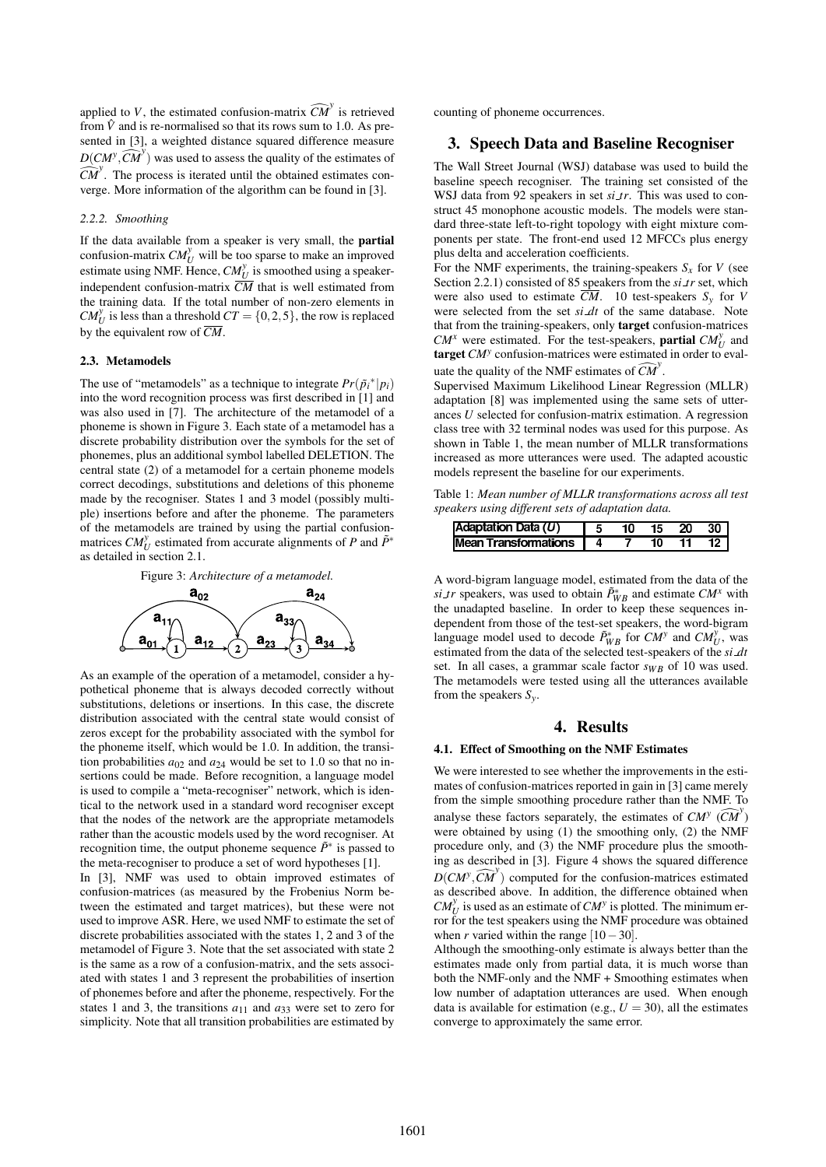applied to *V*, the estimated confusion-matrix  $\widehat{CM}^y$  is retrieved from  $\hat{V}$  and is re-normalised so that its rows sum to 1.0. As presented in [3], a weighted distance squared difference measure  $D(CM^y, \widehat{CM}^y)$  was used to assess the quality of the estimates of  $\widehat{CM}^y$ . The process is iterated until the obtained estimates converge. More information of the algorithm can be found in [3].

#### *2.2.2. Smoothing*

If the data available from a speaker is very small, the **partial** confusion-matrix  $CM_U^y$  will be too sparse to make an improved estimate using NMF. Hence,  $CM_U^y$  is smoothed using a speakerindependent confusion-matrix  $\overline{CM}$  that is well estimated from the training data. If the total number of non-zero elements in  $CM_U^y$  is less than a threshold  $CT = \{0, 2, 5\}$ , the row is replaced by the equivalent row of  $\overline{CM}$ .

## **2.3. Metamodels**

The use of "metamodels" as a technique to integrate  $Pr(\tilde{p}_i^*|p_i)$ into the word recognition process was first described in [1] and was also used in [7]. The architecture of the metamodel of a phoneme is shown in Figure 3. Each state of a metamodel has a discrete probability distribution over the symbols for the set of phonemes, plus an additional symbol labelled DELETION. The central state (2) of a metamodel for a certain phoneme models correct decodings, substitutions and deletions of this phoneme made by the recogniser. States 1 and 3 model (possibly multiple) insertions before and after the phoneme. The parameters of the metamodels are trained by using the partial confusionmatrices  $CM_U^y$  estimated from accurate alignments of *P* and  $\tilde{P}^*$ as detailed in section 2.1.





As an example of the operation of a metamodel, consider a hypothetical phoneme that is always decoded correctly without substitutions, deletions or insertions. In this case, the discrete distribution associated with the central state would consist of zeros except for the probability associated with the symbol for the phoneme itself, which would be 1.0. In addition, the transition probabilities  $a_{02}$  and  $a_{24}$  would be set to 1.0 so that no insertions could be made. Before recognition, a language model is used to compile a "meta-recogniser" network, which is identical to the network used in a standard word recogniser except that the nodes of the network are the appropriate metamodels rather than the acoustic models used by the word recogniser. At recognition time, the output phoneme sequence  $\tilde{P}^*$  is passed to the meta-recogniser to produce a set of word hypotheses [1].

In [3], NMF was used to obtain improved estimates of confusion-matrices (as measured by the Frobenius Norm between the estimated and target matrices), but these were not used to improve ASR. Here, we used NMF to estimate the set of discrete probabilities associated with the states 1, 2 and 3 of the metamodel of Figure 3. Note that the set associated with state 2 is the same as a row of a confusion-matrix, and the sets associated with states 1 and 3 represent the probabilities of insertion of phonemes before and after the phoneme, respectively. For the states 1 and 3, the transitions  $a_{11}$  and  $a_{33}$  were set to zero for simplicity. Note that all transition probabilities are estimated by counting of phoneme occurrences.

# **3. Speech Data and Baseline Recogniser**

The Wall Street Journal (WSJ) database was used to build the baseline speech recogniser. The training set consisted of the WSJ data from 92 speakers in set *si tr*. This was used to construct 45 monophone acoustic models. The models were standard three-state left-to-right topology with eight mixture components per state. The front-end used 12 MFCCs plus energy plus delta and acceleration coefficients.

For the NMF experiments, the training-speakers  $S<sub>x</sub>$  for *V* (see Section 2.2.1) consisted of 85 speakers from the *si tr* set, which were also used to estimate  $\overline{CM}$ . 10 test-speakers  $S_v$  for *V* were selected from the set *si dt* of the same database. Note that from the training-speakers, only **target** confusion-matrices *CM<sup><i>x*</sup> were estimated. For the test-speakers, **partial**  $CM_U^y$  and **target** *CM<sup>y</sup>* confusion-matrices were estimated in order to evaluate the quality of the NMF estimates of  $\widehat{CM}^y$ .

Supervised Maximum Likelihood Linear Regression (MLLR) adaptation [8] was implemented using the same sets of utterances *U* selected for confusion-matrix estimation. A regression class tree with 32 terminal nodes was used for this purpose. As shown in Table 1, the mean number of MLLR transformations increased as more utterances were used. The adapted acoustic models represent the baseline for our experiments.

Table 1: *Mean number of MLLR transformations across all test speakers using different sets of adaptation data.*

| <b>Adaptation Data (U)</b> |  | 15 20 | -30 I |
|----------------------------|--|-------|-------|
| Mean Transformations 4     |  |       |       |

A word-bigram language model, estimated from the data of the *si tr* speakers, was used to obtain  $\tilde{P}_{WB}^*$  and estimate  $CM^x$  with the unadapted baseline. In order to keep these sequences independent from those of the test-set speakers, the word-bigram language model used to decode  $\tilde{P}_{WB}^*$  for  $CM^y$  and  $CM_U^y$ , was estimated from the data of the selected test-speakers of the *si dt* set. In all cases, a grammar scale factor  $s_{WB}$  of 10 was used. The metamodels were tested using all the utterances available from the speakers *Sy*.

## **4. Results**

#### **4.1. Effect of Smoothing on the NMF Estimates**

We were interested to see whether the improvements in the estimates of confusion-matrices reported in gain in [3] came merely from the simple smoothing procedure rather than the NMF. To analyse these factors separately, the estimates of  $CM^y$   $(\widehat{CM}^y)$ were obtained by using (1) the smoothing only, (2) the NMF procedure only, and (3) the NMF procedure plus the smoothing as described in [3]. Figure 4 shows the squared difference  $D(CM^y, \widehat{CM}^y)$  computed for the confusion-matrices estimated as described above. In addition, the difference obtained when  $CM_U^y$  is used as an estimate of  $CM^y$  is plotted. The minimum error for the test speakers using the NMF procedure was obtained when *r* varied within the range  $[10-30]$ .

Although the smoothing-only estimate is always better than the estimates made only from partial data, it is much worse than both the NMF-only and the NMF + Smoothing estimates when low number of adaptation utterances are used. When enough data is available for estimation (e.g.,  $U = 30$ ), all the estimates converge to approximately the same error.